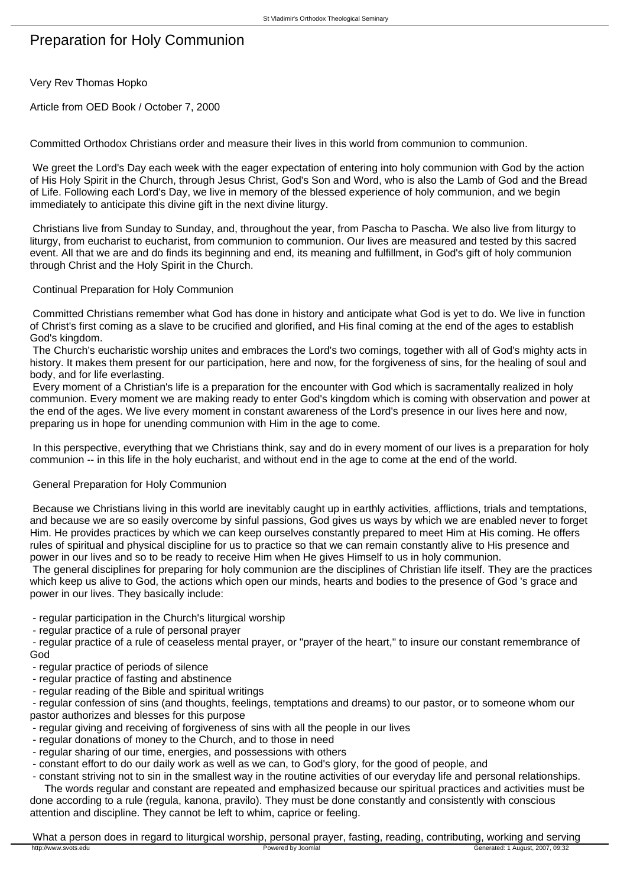# Preparation for Holy Communion

Very Rev Thomas Hopko

Article from OED Book / October 7, 2000

Committed Orthodox Christians order and measure their lives in this world from communion to communion.

 We greet the Lord's Day each week with the eager expectation of entering into holy communion with God by the action of His Holy Spirit in the Church, through Jesus Christ, God's Son and Word, who is also the Lamb of God and the Bread of Life. Following each Lord's Day, we live in memory of the blessed experience of holy communion, and we begin immediately to anticipate this divine gift in the next divine liturgy.

 Christians live from Sunday to Sunday, and, throughout the year, from Pascha to Pascha. We also live from liturgy to liturgy, from eucharist to eucharist, from communion to communion. Our lives are measured and tested by this sacred event. All that we are and do finds its beginning and end, its meaning and fulfillment, in God's gift of holy communion through Christ and the Holy Spirit in the Church.

### Continual Preparation for Holy Communion

 Committed Christians remember what God has done in history and anticipate what God is yet to do. We live in function of Christ's first coming as a slave to be crucified and glorified, and His final coming at the end of the ages to establish God's kingdom.

 The Church's eucharistic worship unites and embraces the Lord's two comings, together with all of God's mighty acts in history. It makes them present for our participation, here and now, for the forgiveness of sins, for the healing of soul and body, and for life everlasting.

 Every moment of a Christian's life is a preparation for the encounter with God which is sacramentally realized in holy communion. Every moment we are making ready to enter God's kingdom which is coming with observation and power at the end of the ages. We live every moment in constant awareness of the Lord's presence in our lives here and now, preparing us in hope for unending communion with Him in the age to come.

 In this perspective, everything that we Christians think, say and do in every moment of our lives is a preparation for holy communion -- in this life in the holy eucharist, and without end in the age to come at the end of the world.

## General Preparation for Holy Communion

 Because we Christians living in this world are inevitably caught up in earthly activities, afflictions, trials and temptations, and because we are so easily overcome by sinful passions, God gives us ways by which we are enabled never to forget Him. He provides practices by which we can keep ourselves constantly prepared to meet Him at His coming. He offers rules of spiritual and physical discipline for us to practice so that we can remain constantly alive to His presence and power in our lives and so to be ready to receive Him when He gives Himself to us in holy communion.

 The general disciplines for preparing for holy communion are the disciplines of Christian life itself. They are the practices which keep us alive to God, the actions which open our minds, hearts and bodies to the presence of God 's grace and power in our lives. They basically include:

- regular participation in the Church's liturgical worship

- regular practice of a rule of personal prayer

 - regular practice of a rule of ceaseless mental prayer, or "prayer of the heart," to insure our constant remembrance of God

- regular practice of periods of silence
- regular practice of fasting and abstinence
- regular reading of the Bible and spiritual writings

 - regular confession of sins (and thoughts, feelings, temptations and dreams) to our pastor, or to someone whom our pastor authorizes and blesses for this purpose

- regular giving and receiving of forgiveness of sins with all the people in our lives
- regular donations of money to the Church, and to those in need
- regular sharing of our time, energies, and possessions with others

- constant effort to do our daily work as well as we can, to God's glory, for the good of people, and

 - constant striving not to sin in the smallest way in the routine activities of our everyday life and personal relationships. The words regular and constant are repeated and emphasized because our spiritual practices and activities must be done according to a rule (regula, kanona, pravilo). They must be done constantly and consistently with conscious attention and discipline. They cannot be left to whim, caprice or feeling.

What a person does in regard to liturgical worship, personal prayer, fasting, reading, contributing, working and serving<br>
Powered by Joomla!<br>
Powered by Joomla!